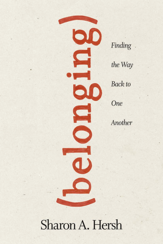00 O 

Finding. the Way **Back** to One Another

# Sharon A. Hersh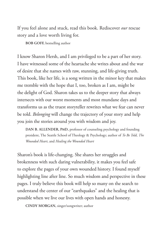If you feel alone and stuck, read this book. Rediscover *our* rescue story and a love worth living for.

**BOB GOFF,** bestselling author

I know Sharon Hersh, and I am privileged to be a part of her story. I have witnessed some of the heartache she writes about and the war of desire that she names with raw, stunning, and life-giving truth. This book, like her life, is a song written in the minor key that makes me tremble with the hope that I, too, broken as I am, might be the delight of God. Sharon takes us to the deeper story that always intersects with our worst moments and most mundane days and transforms us as the truest storyteller rewrites what we fear can never be told. *Belonging* will change the trajectory of your story and help you join the stories around you with wisdom and joy.

**DAN B. ALLENDER, PhD,** professor of counseling psychology and founding president, The Seattle School of Theology & Psychology; author of *To Be Told*, *The Wounded Heart*, and *Healing the Wounded Heart*

Sharon's book is life-changing. She shares her struggles and brokenness with such daring vulnerability, it makes you feel safe to explore the pages of your own wounded history. I found myself highlighting line after line. So much wisdom and perspective in these pages. I truly believe this book will help so many on the search to understand the center of our "earthquakes" and the healing that is possible when we live our lives with open hands and honesty.

**CINDY MORGAN,** singer/songwriter; author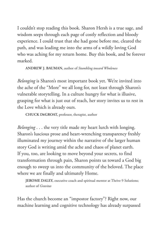I couldn't stop reading this book. Sharon Hersh is a true sage, and wisdom seeps through each page of costly reflection and bloody experience. I could trust that she had gone before me, cleared the path, and was leading me into the arms of a wildly loving God who was aching for my return home. Buy this book, and be forever marked.

**ANDREW J. BAUMAN,** author of *Stumbling toward Wholeness*

*Belonging* is Sharon's most important book yet. We're invited into the ache of the "More" we all long for, not least through Sharon's vulnerable storytelling. In a culture hungry for what is illusive, grasping for what is just out of reach, her story invites us to rest in the Love which is already ours.

**CHUCK DeGROAT,** professor, therapist, author

*Belonging* . . . the very title made my heart lurch with longing. Sharon's luscious prose and heart-wrenching transparency freshly illuminated my journey within the narrative of the larger human story God is writing amid the ache and chaos of planet earth. If you, too, are looking to move beyond your secrets, to find transformation through pain, Sharon points us toward a God big enough to sweep us into the community of the beloved. The place where we are finally and ultimately Home.

**JEROME DALEY**, executive coach and spiritual mentor at Thrive 9 Solutions; author of *Gravitas*

Has the church become an "impostor factory"? Right now, our machine learning and cognitive technology has already surpassed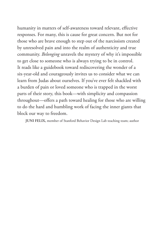humanity in matters of self-awareness toward relevant, effective responses. For many, this is cause for great concern. But not for those who are brave enough to step out of the narcissism created by unresolved pain and into the realm of authenticity and true community. *Belonging* unravels the mystery of why it's impossible to get close to someone who is always trying to be in control. It reads like a guidebook toward rediscovering the wonder of a six-year-old and courageously invites us to consider what we can learn from Judas about ourselves. If you've ever felt shackled with a burden of pain or loved someone who is trapped in the worst parts of their story, this book—with simplicity and compassion throughout—offers a path toward healing for those who are willing to do the hard and humbling work of facing the inner giants that block our way to freedom.

**JUNI FELIX,** member of Stanford Behavior Design Lab teaching team; author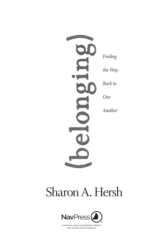*Finding the Way Back to* Г *One Another*

## Sharon A. Hersh



*A NavPress resource published in alliance with Tyndale House Publishers*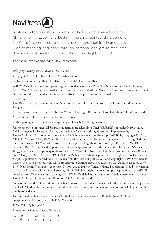

NavPress is the publishing ministry of The Navigators, an international Christian organization and leader in personal spiritual development. NavPress is committed to helping people grow spiritually and enjoy lives of meaning and hope through personal and group resources that are biblically rooted, culturally relevant, and highly practical.

#### **For more information, visit NavPress.com.**

#### *Belonging: Finding the Way Back to One Another*

Copyright © 2020 by Sharon Hersh. All rights reserved.

A NavPress resource published in alliance with Tyndale House Publishers

*NAVPRESS* and the NavPress logo are registered trademarks of NavPress, The Navigators, Colorado Springs, CO. *TYNDALE* is a registered trademark of Tyndale House Publishers. Absence of ® in connection with marks of NavPress or other parties does not indicate an absence of registration of those marks.

The Team:

Don Pape, Publisher; Caitlyn Carlson, Acquisitions Editor; Elizabeth Schroll, Copy Editor; Eva M. Winters, Designer

Cover title treatment hand-lettered by Eva Winters. Copyright © Tyndale House Publishers. All rights reserved.

Cover photograph of paper texture by Lost & Taken.

Author photograph by Emily Grauberger, copyright © 2019. All rights reserved.

Unless otherwise indicated, all Scripture quotations are taken from *THE MESSAGE*, copyright © 1993, 2002, 2018 by Eugene H. Peterson. Used by permission of NavPress. All rights reserved. Represented by Tyndale House Publishers. Scripture quotations marked AMPC are taken from the Amplified® Bible, copyright © 1954, 1958, 1962, 1964, 1965, 1987 by The Lockman Foundation. Used by permission. www.Lockman.org. Scripture quotations marked CEV are taken from the Contemporary English Version, copyright © 1991, 1992, 1995 by American Bible Society. Used by permission. Scripture quotations marked KJV are taken from the *Holy Bible*, King James Version. Scripture quotations marked NIV are taken from the Holy Bible, *New International Version*, King James Version. Scripture quotations marked NIV are taken from the Holy Bible, *New International Version*,®<br>*NIV.®* Copyright © 1973, 1978, 1984, 2011 by Biblica, Inc.® Used by permission. All rights reserved worldwid Scripture quotations marked NKJV are taken from the New King James Version,® copyright © 1982 by Thomas Nelson, Inc. Used by permission. All rights reserved. Scripture quotations marked NLT are taken from the *Holy Bible*, New Living Translation, copyright © 1996, 2004, 2015 by Tyndale House Foundation. Used by permission of Tyndale House Publishers, Carol Stream, Illinois 60188. All rights reserved. Scripture quotations marked TLB are taken from *The Living Bible*, copyright © 1971 by Tyndale House Foundation. Used by permission of Tyndale House Publishers, Carol Stream, Illinois 60188. All rights reserved.

Some of the anecdotal illustrations in this book are true to life and are included with the permission of the persons involved. All other illustrations are composites of real situations, and any resemblance to people living or dead is purely coincidental.

For information about special discounts for bulk purchases, please contact Tyndale House Publishers at csresponse@tyndale.com, or call 1-800-323-9400.

ISBN 978-1-63146-960-2

Printed in the United States of America

|  | 26 25 24 23 22 21 20 |  |  |
|--|----------------------|--|--|
|  | 7 6 5 4 3 2 1        |  |  |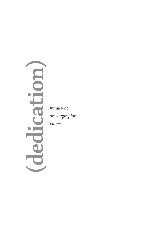**(dedication)** $\Box$ 

*for all who are longing for Home*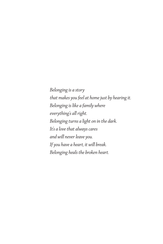*Belonging is a story that makes you feel at home just by hearing it. Belonging is like a family where everything's all right. Belonging turns a light on in the dark. It's a love that always cares and will never leave you. If you have a heart, it will break. Belonging heals the broken heart.*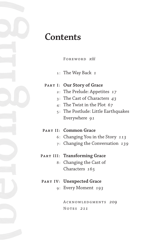### **Contents**

[Foreword](#page-13-0) *xiii*

1 : [The Way Back](#page-17-0) *1*

### **Part I: Our Story of Grace**

- 2 : The Prelude: Appetites *17*
- 3 : The Cast of Characters *43*
- 4 : The Twist in the Plot *67*
- 5 : The Postlude: Little Earthquakes Everywhere *91*

### **Part II: Common Grace**

- 6 : Changing You in the Story *113*
- 7 : Changing the Conversation *139*

### **Part III: Transforming Grace**

8: Changing the Cast of Characters *165*

### **Part IV: Unexpected Grace**

9 : Every Moment *193*

Acknowledgments *209* Notes *211*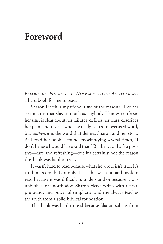### <span id="page-13-0"></span>**Foreword**

*Belonging: Finding the Way Back to One Another* was a hard book for me to read.

Sharon Hersh is my friend. One of the reasons I like her so much is that she, as much as anybody I know, confesses her sins, is clear about her failures, defines her fears, describes her pain, and reveals who she really is. It's an overused word, but *authentic* is the word that defines Sharon and her story. As I read her book, I found myself saying several times, "I don't believe I would have said that." By the way, that's a positive—rare and refreshing—but it's certainly not the reason this book was hard to read.

It wasn't hard to read because what she wrote isn't true. It's truth on steroids! Not only that. This wasn't a hard book to read because it was difficult to understand or because it was unbiblical or unorthodox. Sharon Hersh writes with a clear, profound, and powerful simplicity, and she always teaches the truth from a solid biblical foundation.

This book was hard to read because Sharon solicits from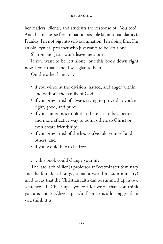her readers, clients, and students the response of "You too?" And that makes self-examination possible (almost mandatory). Frankly, I'm not big into self-examination. I'm doing fine. I'm an old, cynical preacher who just wants to be left alone.

Sharon and Jesus won't leave me alone.

If you want to be left alone, put this book down right now. Don't thank me. I was glad to help.

On the other hand . . .

- if you wince at the division, hatred, and anger within and without the family of God;
- if you grow tired of always trying to prove that you're right, good, and pure;
- if you sometimes think that there has to be a better and more effective way to point others to Christ or even create friendships;
- if you grow tired of the lies you've told yourself and others; and
- if you would like to be free

. . . this book could change your life.

The late Jack Miller (a professor at Westminster Seminary and the founder of Surge, a major world-mission ministry) used to say that the Christian faith can be summed up in two sentences: 1. Cheer up—you're a lot worse than you think you are; and 2. Cheer up—God's grace is a lot bigger than you think it is.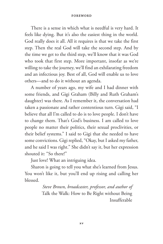#### **Foreword**

There is a sense in which what is needful is very hard. It feels like dying. But it's also the easiest thing in the world. God really does it all. All it requires is that we take the first step. Then the real God will take the second step. And by the time we get to the third step, we'll know that it was God who took that first step. More important, insofar as we're willing to take the journey, we'll find an exhilarating freedom and an infectious joy. Best of all, God will enable us to love others—and to do it without an agenda.

A number of years ago, my wife and I had dinner with some friends, and Gigi Graham (Billy and Ruth Graham's daughter) was there. As I remember it, the conversation had taken a passionate and rather contentious turn. Gigi said, "I believe that all I'm called to do is to love people. I don't have to change them. That's God's business. I am called to love people no matter their politics, their sexual proclivities, or their belief systems." I said to Gigi that she needed to have some convictions. Gigi replied, "Okay, but I asked my father, and he said I was right." She didn't say it, but her expression shouted it: "So there!"

Just love! What an intriguing idea.

Sharon is going to tell you what she's learned from Jesus. You won't like it, but you'll end up rising and calling her blessed.

> *Steve Brown, broadcaster, professor, and author of*  Talk the Walk: How to Be Right without Being Insufferable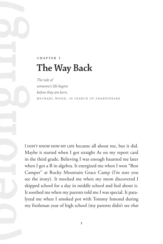### <span id="page-17-0"></span>CHAPTER I **The Way Back**

*The tale of someone's life begins before they are born.* Michael Wood, *in search of Shakespeare*

I DON'T KNOW HOW MY LIFE became all about me, but it did. Maybe it started when I got straight As on my report card in the third grade. Believing I was enough haunted me later when I got a B in algebra. It energized me when I won "Best Camper" at Rocky Mountain Grace Camp (I'm sure you see the irony). It mocked me when my mom discovered I skipped school for a day in middle school and lied about it. It soothed me when my parents told me I was special. It paralyzed me when I smoked pot with Tommy Ismond during my freshman year of high school (my parents didn't see *that*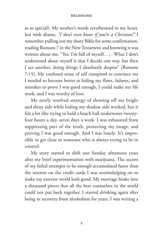as so special). My mother's words reverberated in my heart, hot with shame, *"I don't even know if you're a Christian!"* I remember pulling out my dusty Bible for some confirmation, reading Romans 7 in the New Testament and knowing it was written about me: "Yes. I'm full of myself. . . . What I don't understand about myself is that I decide one way, but then I act another, doing things I absolutely despise" (Romans 7:15). My confused sense of self conspired to convince me I needed to become better at hiding my flaws, failures, and mistakes to prove I was good enough, I could make my life work, and I was worthy of love.

My newly resolved strategy of showing off my bright and shiny side while hiding my shadow side worked, but it felt a bit like trying to hold a beach ball underwater twentyfour hours a day, seven days a week. I was exhausted from suppressing part of the truth, protecting my image, and proving I was good enough. And I was lonely. It's impossible to get close to someone who is always trying to be in control.

My story started to shift one Sunday afternoon years after my brief experimentation with marijuana. The secrets of my failed attempts to be enough accumulated faster than the interest on the credit cards I was overindulging on to make my exterior world look good. My marriage broke into a thousand pieces that all the best counselors in the world could not put back together. I started drinking again after being in recovery from alcoholism for years. I was writing a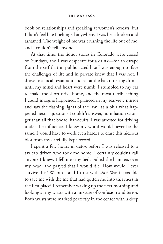### **The Way Back**

book on relationships and speaking at women's retreats, but I didn't feel like I belonged anywhere. I was heartbroken and ashamed. The weight of me was crushing the life out of me, and I couldn't tell anyone.

At that time, the liquor stores in Colorado were closed on Sundays, and I was desperate for a drink—for an escape from the self that in public acted like I was enough to face the challenges of life and in private knew that I was not. I drove to a local restaurant and sat at the bar, ordering drinks until my mind and heart were numb. I stumbled to my car to make the short drive home, and the most terrible thing I could imagine happened. I glanced in my rearview mirror and saw the flashing lights of the law. It's a blur what happened next—questions I couldn't answer, humiliation stronger than all that booze, handcuffs. I was arrested for driving under the influence. I knew my world would never be the same. I would have to work even harder to erase this hideous blot from my carefully kept record.

I spent a few hours in detox before I was released to a taxicab driver, who took me home. I certainly couldn't call anyone I knew. I fell into my bed, pulled the blankets over my head, and prayed that I would die. How would I ever survive this? Whom could I trust with *this*? Was it possible to save me with the me that had gotten me into this mess in the first place? I remember waking up the next morning and looking at my wrists with a mixture of confusion and terror. Both wrists were marked perfectly in the center with a deep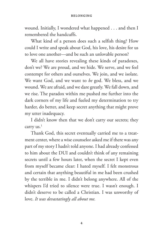wound. Initially, I wondered what happened . . . and then I remembered the handcuffs.

What kind of a person does such a selfish thing? How could I write and speak about God, his love, his desire for us to love one another—and be such an unlovable person?

We all have stories revealing these kinds of paradoxes, don't we? We are proud, and we hide. We serve, and we feel contempt for others and ourselves. We join, and we isolate. We want God, and we want to *be* god. We bless, and we wound. We are afraid, and we dare greatly. We fall down, and we rise. The paradox within me pushed me further into the dark corners of my life and fueled my determination to try harder, do better, and keep secret anything that might prove my utter inadequacy.

I didn't know then that we don't carry our secrets; they carry us.<sup>1</sup>

Thank God, this secret eventually carried me to a treatment center, where a wise counselor asked me if there was any part of my story I hadn't told anyone. I had already confessed to him about the DUI and couldn't think of any remaining secrets until a few hours later, when the secret I kept even from myself became clear: I hated myself. I felt monstrous and certain that anything beautiful in me had been crushed by the terrible in me. I didn't belong anywhere. All of the whispers I'd tried to silence were true. I wasn't enough. I didn't deserve to be called a Christian. I was unworthy of love. *It was devastatingly all about me.*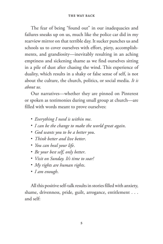### **The Way Back**

The fear of being "found out" in our inadequacies and failures sneaks up on us, much like the police car did in my rearview mirror on that terrible day. It sucker punches us and schools us to cover ourselves with effort, piety, accomplishments, and grandiosity—inevitably resulting in an aching emptiness and sickening shame as we find ourselves sitting in a pile of dust after chasing the wind. This experience of duality, which results in a shaky or false sense of self, is not about the culture, the church, politics, or social media. *It is about us.*

Our narratives—whether they are pinned on Pinterest or spoken as testimonies during small group at church—are filled with words meant to prove ourselves:

- *Everything I need is within me*.
- *I can be the change to make the world great again*.
- *God wants you to be a better you*.
- *Think better and live better*.
- *You can heal your life*.
- *Be your best self, only better*.
- *Visit on Sunday. It's time to soar!*
- *My rights are human rights*.
- *I am enough*.

All this positive self-talk results in stories filled with anxiety, shame, drivenness, pride, guilt, arrogance, entitlement . . . and self: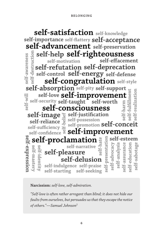

**Narcissism:** *self-love, self-admiration.*

*"Self-love is often rather arrogant than blind; it does not hide our faults from ourselves, but persuades us that they escape the notice of others."—Samuel Johnson*<sup>2</sup>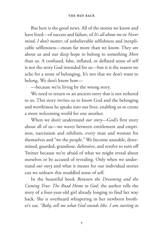But here is the good news. All of the stories we know and have lived—of success and failure, of *It's all about me* or *Never mind, I don't matter*, of unbelievable selfishness and inexplicable selflessness—mean far more than we know. They are about us and our deep hope to belong to something *More*  than us. A confused, false, inflated, or deflated sense of self is not the story God intended for us—but it is the reason we ache for a sense of belonging. It's not that we don't want to belong. We don't know how—

—because we're living by the wrong story.

We need to return to an ancient story that is not tethered to us. This story invites us to know God and the belonging and worthiness he speaks into our lives, enabling us to create a more welcoming world for one another.

When we don't understand *our story*—God's first story about all of us—we waver between entitlement and emptiness, narcissism and nihilism, every man and woman for themselves and "we the people." We become unstable, determined, guarded, grandiose, defensive, and resolve to turn off Twitter because we're afraid of what we might reveal about ourselves or be accused of revealing. Only when we understand *our story* and what it means for our individual stories can we unlearn this muddled sense of self.

In the beautiful book *Between the Dreaming and the Coming True: The Road Home to God*, the author tells the story of a four-year-old girl already longing to find her way back. She is overheard whispering in her newborn brother's ear, *"Baby, tell me what God sounds like. I am starting to*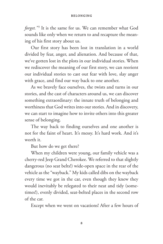*forget.*"<sup>3</sup> It is the same for us. We can remember what God sounds like only when we return to and recapture the meaning of his first story about us.

Our first story has been lost in translation in a world divided by fear, anger, and alienation. And because of that, we've gotten lost in the plots in our individual stories. When we rediscover the meaning of our first story, we can reorient our individual stories to cast out fear with love, slay anger with grace, and find our way back to one another.

As we bravely face ourselves, the twists and turns in our stories, and the cast of characters around us, we can discover something extraordinary: the innate truth of belonging and worthiness that God writes into our stories. And in discovery, we can start to imagine how to invite others into this greater sense of belonging.

The way back to finding ourselves and one another is not for the faint of heart. It's messy. It's hard work. And it's worth it.

But how do we get there?

When my children were young, our family vehicle was a cherry-red Jeep Grand Cherokee. We referred to that slightly dangerous (no seat belts!) wide-open space in the rear of the vehicle as the "wayback." My kids called dibs on the wayback every time we got in the car, even though they knew they would inevitably be relegated to their neat and tidy (sometimes!), evenly divided, seat-belted places in the second row of the car.

Except when we went on vacations! After a few hours of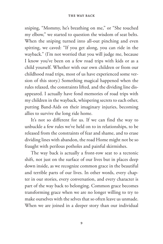sniping, "Mommy, he's breathing on me," or "She touched my elbow," we started to question the wisdom of seat belts. When the sniping turned into all-out pinching and even spitting, we caved: "If you get along, you can ride in the wayback." (I'm not worried that you will judge me, because I know you've been on a few road trips with kids or as a child yourself. Whether with our own children or from our childhood road trips, most of us have experienced some version of this story.) Something magical happened when the rules relaxed, the constraints lifted, and the dividing line disappeared. I actually have fond memories of road trips with my children in the wayback, whispering secrets to each other, putting Band-Aids on their imaginary injuries, becoming allies to survive the long ride home.

It's not so different for us. If we can find the way to unbuckle a few rules we've held on to in relationships, to be released from the constraints of fear and shame, and to erase dividing lines with abandon, the road Home might not be so fraught with perilous potholes and painful skirmishes.

The way back is actually a front-row seat to a tectonic shift, not just on the surface of our lives but in places deep down inside, as we recognize common grace in the beautiful and terrible parts of our lives. In other words, every chapter in our stories, every conversation, and every character is part of the way back to belonging. Common grace becomes transforming grace when we are no longer willing to try to make ourselves with the selves that so often leave us unmade. When we are joined in a deeper story than our individual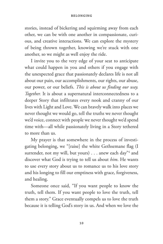stories, instead of bickering and squirming away from each other, we can be with one another in compassionate, curious, and creative interactions. We can explore the mystery of being thrown together, knowing we're stuck with one another, so we might as well enjoy the ride.

I invite you to the very edge of your seat to anticipate what could happen in you and others if you engage with the unexpected grace that passionately declares life is not all about our pain, our accomplishments, our rights, our abuse, our power, or our beliefs. *This is about us finding our way. Together.* It is about a supernatural interconnectedness to a deeper Story that infiltrates every nook and cranny of our lives with Light and Love. We can bravely walk into places we never thought we would go, tell the truths we never thought we'd voice, connect with people we never thought we'd spend time with—all while passionately living in a Story tethered to more than us.

My prayer is that somewhere in the process of investigating belonging, we "[raise] the white Gethsemane flag (I surrender, not my will, but yours) . . . anew each day"4 and discover what God is trying to tell us about *him*. He wants to use every story about us to romance us to his love story and his longing to fill our emptiness with grace, forgiveness, and healing.

Someone once said, "If you want people to know the truth, tell them. If you want people to love the truth, tell them a story." Grace eventually compels us to love the truth because it is telling God's story in us. And when we love the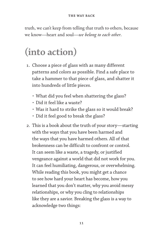truth, we can't keep from telling that truth to others, because we know—heart and soul*—we belong to each other*.

## **(into action)**

- 1. Choose a piece of glass with as many different patterns and colors as possible. Find a safe place to take a hammer to that piece of glass, and shatter it into hundreds of little pieces.
	- What did you feel when shattering the glass?
	- Did it feel like a waste?
	- Was it hard to strike the glass so it would break?
	- Did it feel good to break the glass?
- 2. This is a book about the truth of your story—starting with the ways that you have been harmed and the ways that you have harmed others. All of that brokenness can be difficult to confront or control. It can seem like a waste, a tragedy, or justified vengeance against a world that did not work for you. It can feel humiliating, dangerous, or overwhelming. While reading this book, you might get a chance to see how hard your heart has become, how you learned that you don't matter, why you avoid messy relationships, or why you cling to relationships like they are a savior. Breaking the glass is a way to acknowledge two things: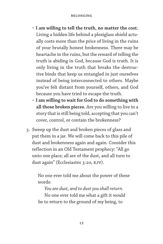- **I am willing to tell the truth, no matter the cost.** Living a hidden life behind a plexiglass shield actually costs more than the price of living in the ruins of your brutally honest brokenness. There may be heartache in the ruins, but the reward of telling the truth is abiding in God, because God is truth. It is only living in the truth that breaks the destructive binds that keep us entangled in just ourselves instead of being interconnected to others. Maybe you've felt distant from yourself, others, and God because you have tried to escape the truth.
- **I am willing to wait for God to do something with all those broken pieces.** Are you willing to live in a story that is still being told, accepting that you can't cover, control, or contain the brokenness?
- 3. Sweep up the dust and broken pieces of glass and put them in a jar. We will come back to this pile of dust and brokenness again and again. Consider this reflection in an Old Testament prophecy: "All go unto one place; all are of the dust, and all turn to dust again" (Ecclesiastes 3:20, kjv).

No one ever told me about the power of these words:

*You are dust, and to dust you shall return.* No one ever told me what a gift it would be to return to the ground of my being, to